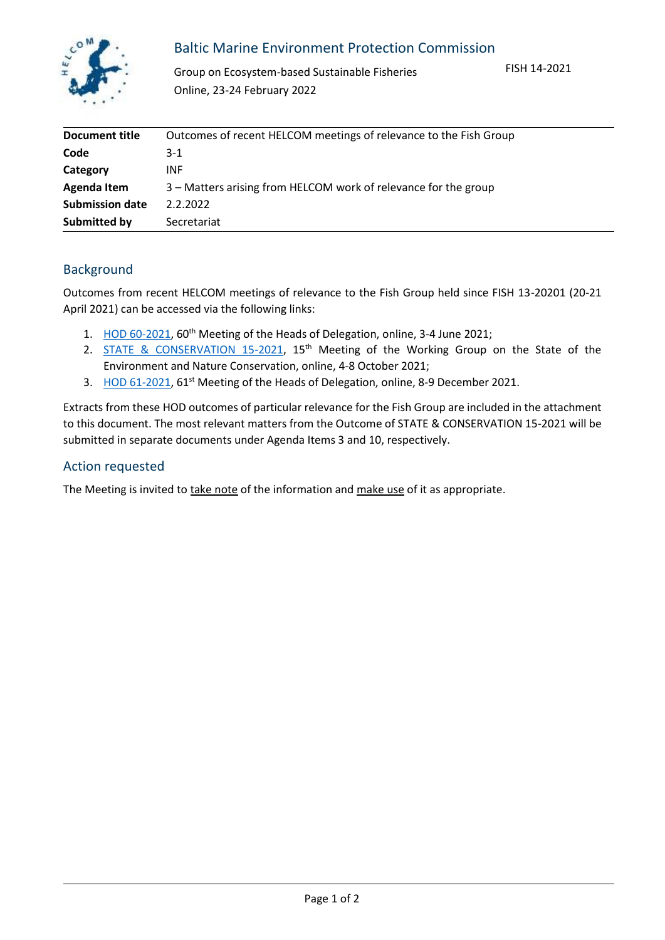

## Baltic Marine Environment Protection Commission

Group on Ecosystem-based Sustainable Fisheries Online, 23-24 February 2022

FISH 14-2021

| Document title         | Outcomes of recent HELCOM meetings of relevance to the Fish Group |
|------------------------|-------------------------------------------------------------------|
| Code                   | $3-1$                                                             |
| Category               | <b>INF</b>                                                        |
| Agenda Item            | 3 – Matters arising from HELCOM work of relevance for the group   |
| <b>Submission date</b> | 2.2.2022                                                          |
| Submitted by           | Secretariat                                                       |

## Background

Outcomes from recent HELCOM meetings of relevance to the Fish Group held since FISH 13-20201 (20-21 April 2021) can be accessed via the following links:

- 1. [HOD 60-2021,](https://portal.helcom.fi/meetings/HOD%2060-2021-786/MeetingDocuments/Outcome%20of%20HOD%2060-2021.pdf) 60<sup>th</sup> Meeting of the Heads of Delegation, online, 3-4 June 2021;
- 2. [STATE & CONSERVATION 15-2021,](https://portal.helcom.fi/meetings/STATE%20-%20CONSERVATION%2015-2021-843/MeetingDocuments/Outcome%20of%20STATE%20AND%20CONSERVATION%2015-2021.pdf) 15<sup>th</sup> Meeting of the Working Group on the State of the Environment and Nature Conservation, online, 4-8 October 2021;
- 3. [HOD](https://portal.helcom.fi/meetings/HOD%2059-2020-784/MeetingDocuments/Outcome%20of%20HOD%2059-2020.pdf) 61-2021, 61<sup>st</sup> Meeting of the Heads of Delegation, online, 8-9 December 2021.

Extracts from these HOD outcomes of particular relevance for the Fish Group are included in the attachment to this document. The most relevant matters from the Outcome of STATE & CONSERVATION 15-2021 will be submitted in separate documents under Agenda Items 3 and 10, respectively.

## Action requested

The Meeting is invited to take note of the information and make use of it as appropriate.